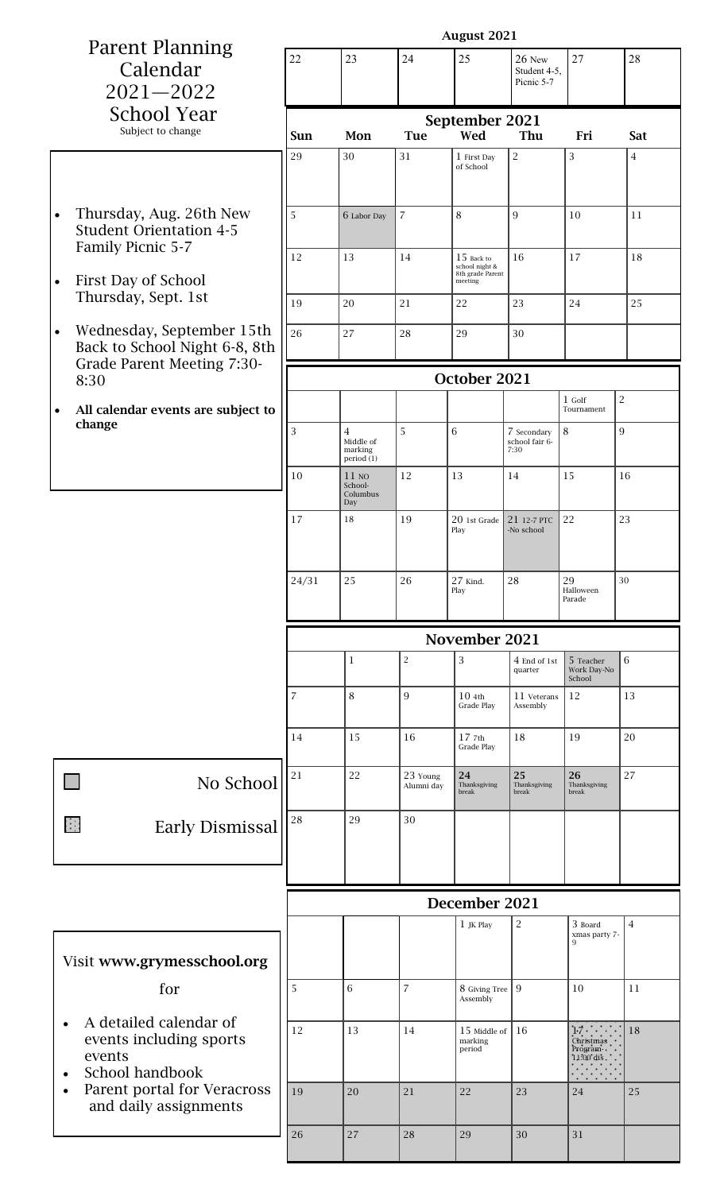| <b>Parent Planning</b>                                                 | <b>August 2021</b> |                                |                         |                                |                            |                                   |                |  |
|------------------------------------------------------------------------|--------------------|--------------------------------|-------------------------|--------------------------------|----------------------------|-----------------------------------|----------------|--|
|                                                                        | 22                 | 23                             | 24                      | 25                             | 26 New                     | 27                                | 28             |  |
| Calendar                                                               |                    |                                |                         |                                | Student 4-5,<br>Picnic 5-7 |                                   |                |  |
| $2021 - 2022$                                                          |                    |                                |                         |                                |                            |                                   |                |  |
| <b>School Year</b>                                                     | September 2021     |                                |                         |                                |                            |                                   |                |  |
| Subject to change                                                      | Sun                | Mon                            | <b>Tue</b>              | Wed                            | Thu                        | Fri                               | Sat            |  |
|                                                                        | 29                 | 30                             | 31                      | 1 First Day<br>of School       | $\overline{c}$             | 3                                 | $\overline{4}$ |  |
|                                                                        |                    |                                |                         |                                |                            |                                   |                |  |
|                                                                        |                    |                                |                         |                                |                            |                                   |                |  |
| Thursday, Aug. 26th New<br>$\bullet$<br><b>Student Orientation 4-5</b> | 5                  | 6 Labor Day                    | $\overline{7}$          | 8                              | 9                          | 10                                | 11             |  |
| Family Picnic 5-7                                                      |                    |                                |                         |                                |                            |                                   |                |  |
|                                                                        | 12                 | 13                             | 14                      | $15$ Back to<br>school night & | 16                         | 17                                | 18             |  |
| First Day of School<br>$\bullet$                                       |                    |                                |                         | 8th grade Parent<br>meeting    |                            |                                   |                |  |
| Thursday, Sept. 1st                                                    | 19                 | 20                             | 21                      | 22                             | 23                         | 24                                | 25             |  |
| Wednesday, September 15th<br>$\bullet$                                 | 26                 | 27                             | 28                      | 29                             | 30                         |                                   |                |  |
| Back to School Night 6-8, 8th                                          |                    |                                |                         |                                |                            |                                   |                |  |
| Grade Parent Meeting 7:30-                                             |                    |                                |                         |                                |                            |                                   |                |  |
| 8:30                                                                   |                    |                                |                         | October 2021                   |                            |                                   |                |  |
| All calendar events are subject to<br>$\bullet$                        |                    |                                |                         |                                |                            | $1$ Golf<br>Tournament            | $\overline{c}$ |  |
| change                                                                 | 3                  | $\overline{4}$                 | 5                       | 6                              | 7 Secondary                | 8                                 | 9              |  |
|                                                                        |                    | Middle of<br>marking           |                         |                                | school fair 6-<br>7:30     |                                   |                |  |
|                                                                        | 10                 | period (1)<br>11 <sub>NO</sub> | 12                      | 13                             | 14                         | 15                                | 16             |  |
|                                                                        |                    | School-<br>Columbus            |                         |                                |                            |                                   |                |  |
|                                                                        | 17                 | Day<br>18                      | 19                      | $20$ 1st Grade                 | 21 12-7 PTC                | 22                                | 23             |  |
|                                                                        |                    |                                |                         | Play                           | -No school                 |                                   |                |  |
|                                                                        |                    |                                |                         |                                |                            |                                   |                |  |
|                                                                        | 24/31              | 25                             | 26                      | 27 Kind.                       | 28                         | 29                                | 30             |  |
|                                                                        |                    |                                |                         |                                |                            |                                   |                |  |
|                                                                        |                    |                                |                         | Play                           |                            | Halloween<br>Parade               |                |  |
|                                                                        |                    |                                |                         |                                |                            |                                   |                |  |
|                                                                        |                    |                                |                         | November 2021                  |                            |                                   |                |  |
|                                                                        |                    | $\mathbf{1}$                   | $\overline{\mathbf{c}}$ | 3                              | 4 End of 1st               | 5 Teacher                         | 6              |  |
|                                                                        |                    |                                |                         |                                | quarter                    | Work Day-No<br>School             |                |  |
|                                                                        | $\overline{7}$     | $\,$ 8 $\,$                    | 9                       | 104th<br>Grade Play            | 11 Veterans<br>Assembly    | 12                                | 13             |  |
|                                                                        |                    |                                |                         |                                |                            |                                   |                |  |
|                                                                        | 14                 | 15                             | 16                      | $17$ $7th$<br>Grade Play       | 18                         | 19                                | 20             |  |
|                                                                        |                    |                                |                         |                                |                            |                                   |                |  |
| No School                                                              | 21                 | 22                             | 23 Young<br>Alumni day  | 24<br>Thanksgiving<br>break    | 25<br>Thanksgiving         | 26<br>Thanksgiving                | 27             |  |
|                                                                        |                    |                                |                         |                                | break                      | break                             |                |  |
| $\mathbb{R}^2$<br><b>Early Dismissal</b>                               | 28                 | 29                             | 30                      |                                |                            |                                   |                |  |
|                                                                        |                    |                                |                         |                                |                            |                                   |                |  |
|                                                                        |                    |                                |                         |                                |                            |                                   |                |  |
|                                                                        |                    |                                |                         |                                |                            |                                   |                |  |
|                                                                        |                    |                                |                         | December 2021                  |                            |                                   |                |  |
|                                                                        |                    |                                |                         | $1$ JK Play                    | $\overline{c}$             | 3 Board<br>xmas party 7-          | $\overline{4}$ |  |
|                                                                        |                    |                                |                         |                                |                            | 9                                 |                |  |
| Visit www.grymesschool.org                                             |                    |                                |                         |                                |                            |                                   |                |  |
| for                                                                    | 5                  | 6                              | 7                       | 8 Giving Tree   9<br>Assembly  |                            | 10                                | 11             |  |
| $\bullet$                                                              |                    |                                |                         |                                |                            |                                   |                |  |
| A detailed calendar of                                                 | 12                 | 13                             | 14                      | 15 Middle of<br>marking        | 16                         | $17 \cdot \cdot \cdot$            | 18             |  |
| events including sports<br>events                                      |                    |                                |                         | period                         |                            | Christmas<br>Program<br>11:00 dis |                |  |
| School handbook                                                        |                    |                                |                         |                                |                            |                                   |                |  |
| Parent portal for Veracross                                            | 19                 | 20                             | 21                      | 22                             | 23                         | 24                                | 25             |  |
| and daily assignments                                                  | 26                 | 27                             | 28                      | 29                             | 30                         | $3\sqrt{1}$                       |                |  |